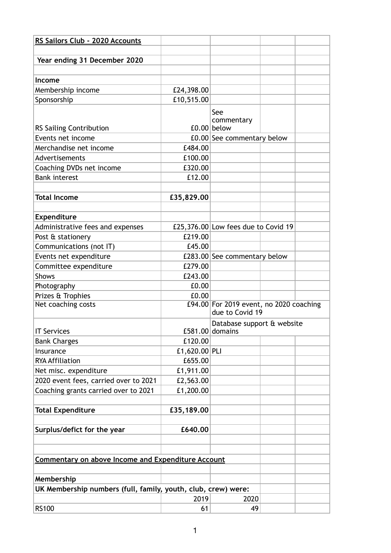| RS Sailors Club - 2020 Accounts                               |                          |                                                            |  |  |
|---------------------------------------------------------------|--------------------------|------------------------------------------------------------|--|--|
|                                                               |                          |                                                            |  |  |
| Year ending 31 December 2020                                  |                          |                                                            |  |  |
|                                                               |                          |                                                            |  |  |
| Income                                                        |                          |                                                            |  |  |
| Membership income                                             | £24,398.00<br>£10,515.00 |                                                            |  |  |
| Sponsorship                                                   |                          |                                                            |  |  |
|                                                               |                          | See                                                        |  |  |
| <b>RS Sailing Contribution</b>                                |                          | commentary<br>£0.00 below                                  |  |  |
| Events net income                                             |                          | £0.00 See commentary below                                 |  |  |
| Merchandise net income                                        | £484.00                  |                                                            |  |  |
| Advertisements                                                | £100.00                  |                                                            |  |  |
| Coaching DVDs net income                                      | £320.00                  |                                                            |  |  |
| <b>Bank interest</b>                                          | £12.00                   |                                                            |  |  |
|                                                               |                          |                                                            |  |  |
| <b>Total Income</b>                                           | £35,829.00               |                                                            |  |  |
|                                                               |                          |                                                            |  |  |
| Expenditure                                                   |                          |                                                            |  |  |
| Administrative fees and expenses                              |                          | £25,376.00 Low fees due to Covid 19                        |  |  |
| Post & stationery                                             | £219.00                  |                                                            |  |  |
| Communications (not IT)                                       | £45.00                   |                                                            |  |  |
| Events net expenditure                                        |                          | £283.00 See commentary below                               |  |  |
| Committee expenditure                                         | £279.00                  |                                                            |  |  |
| <b>Shows</b>                                                  | £243.00                  |                                                            |  |  |
| Photography                                                   | £0.00                    |                                                            |  |  |
| Prizes & Trophies                                             | £0.00                    |                                                            |  |  |
| Net coaching costs                                            |                          | £94.00 For 2019 event, no 2020 coaching<br>due to Covid 19 |  |  |
| <b>IT Services</b>                                            |                          | Database support & website<br>£581.00 domains              |  |  |
| <b>Bank Charges</b>                                           | £120.00                  |                                                            |  |  |
| Insurance                                                     | £1,620.00 PLI            |                                                            |  |  |
| <b>RYA Affiliation</b>                                        | £655.00                  |                                                            |  |  |
| Net misc. expenditure                                         | £1,911.00                |                                                            |  |  |
| 2020 event fees, carried over to 2021                         | £2,563.00                |                                                            |  |  |
| Coaching grants carried over to 2021                          | £1,200.00                |                                                            |  |  |
|                                                               |                          |                                                            |  |  |
| <b>Total Expenditure</b>                                      | £35,189.00               |                                                            |  |  |
|                                                               |                          |                                                            |  |  |
| Surplus/defict for the year                                   | £640.00                  |                                                            |  |  |
|                                                               |                          |                                                            |  |  |
|                                                               |                          |                                                            |  |  |
| <b>Commentary on above Income and Expenditure Account</b>     |                          |                                                            |  |  |
|                                                               |                          |                                                            |  |  |
| Membership                                                    |                          |                                                            |  |  |
| UK Membership numbers (full, family, youth, club, crew) were: | 2019                     | 2020                                                       |  |  |
| <b>RS100</b>                                                  | 61                       | 49                                                         |  |  |
|                                                               |                          |                                                            |  |  |